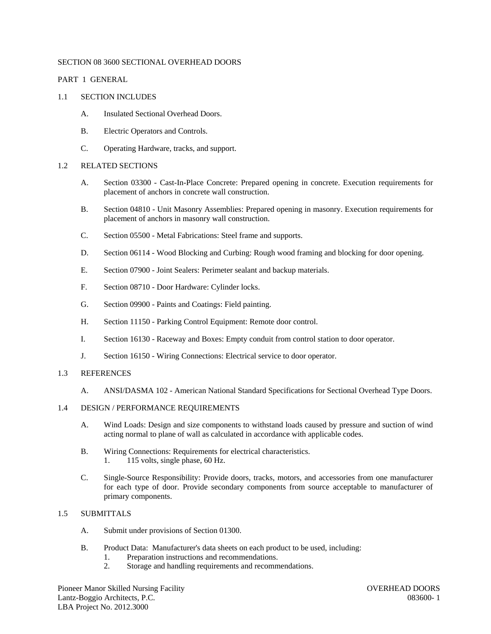## SECTION 08 3600 SECTIONAL OVERHEAD DOORS

# PART 1 GENERAL

## 1.1 SECTION INCLUDES

- A. Insulated Sectional Overhead Doors.
- B. Electric Operators and Controls.
- C. Operating Hardware, tracks, and support.

# 1.2 RELATED SECTIONS

- A. Section 03300 Cast-In-Place Concrete: Prepared opening in concrete. Execution requirements for placement of anchors in concrete wall construction.
- B. Section 04810 Unit Masonry Assemblies: Prepared opening in masonry. Execution requirements for placement of anchors in masonry wall construction.
- C. Section 05500 Metal Fabrications: Steel frame and supports.
- D. Section 06114 Wood Blocking and Curbing: Rough wood framing and blocking for door opening.
- E. Section 07900 Joint Sealers: Perimeter sealant and backup materials.
- F. Section 08710 Door Hardware: Cylinder locks.
- G. Section 09900 Paints and Coatings: Field painting.
- H. Section 11150 Parking Control Equipment: Remote door control.
- I. Section 16130 Raceway and Boxes: Empty conduit from control station to door operator.
- J. Section 16150 Wiring Connections: Electrical service to door operator.

# 1.3 REFERENCES

A. ANSI/DASMA 102 - American National Standard Specifications for Sectional Overhead Type Doors.

## 1.4 DESIGN / PERFORMANCE REQUIREMENTS

- A. Wind Loads: Design and size components to withstand loads caused by pressure and suction of wind acting normal to plane of wall as calculated in accordance with applicable codes.
- B. Wiring Connections: Requirements for electrical characteristics. 1. 115 volts, single phase, 60 Hz.
- C. Single-Source Responsibility: Provide doors, tracks, motors, and accessories from one manufacturer for each type of door. Provide secondary components from source acceptable to manufacturer of primary components.

# 1.5 SUBMITTALS

- A. Submit under provisions of Section 01300.
- B. Product Data: Manufacturer's data sheets on each product to be used, including:
	- 1. Preparation instructions and recommendations.
	- 2. Storage and handling requirements and recommendations.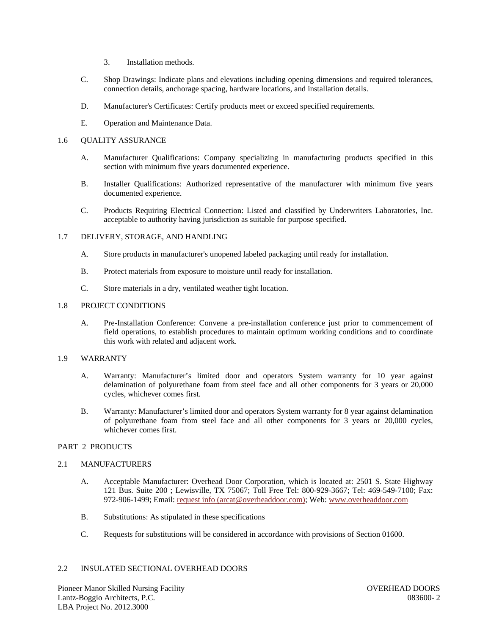- 3. Installation methods.
- C. Shop Drawings: Indicate plans and elevations including opening dimensions and required tolerances, connection details, anchorage spacing, hardware locations, and installation details.
- D. Manufacturer's Certificates: Certify products meet or exceed specified requirements.
- E. Operation and Maintenance Data.

## 1.6 QUALITY ASSURANCE

- A. Manufacturer Qualifications: Company specializing in manufacturing products specified in this section with minimum five years documented experience.
- B. Installer Qualifications: Authorized representative of the manufacturer with minimum five years documented experience.
- C. Products Requiring Electrical Connection: Listed and classified by Underwriters Laboratories, Inc. acceptable to authority having jurisdiction as suitable for purpose specified.

## 1.7 DELIVERY, STORAGE, AND HANDLING

- A. Store products in manufacturer's unopened labeled packaging until ready for installation.
- B. Protect materials from exposure to moisture until ready for installation.
- C. Store materials in a dry, ventilated weather tight location.

## 1.8 PROJECT CONDITIONS

A. Pre-Installation Conference: Convene a pre-installation conference just prior to commencement of field operations, to establish procedures to maintain optimum working conditions and to coordinate this work with related and adjacent work.

## 1.9 WARRANTY

- A. Warranty: Manufacturer's limited door and operators System warranty for 10 year against delamination of polyurethane foam from steel face and all other components for 3 years or 20,000 cycles, whichever comes first.
- B. Warranty: Manufacturer's limited door and operators System warranty for 8 year against delamination of polyurethane foam from steel face and all other components for 3 years or 20,000 cycles, whichever comes first.

## PART 2 PRODUCTS

### 2.1 MANUFACTURERS

- A. Acceptable Manufacturer: Overhead Door Corporation, which is located at: 2501 S. State Highway 121 Bus. Suite 200 ; Lewisville, TX 75067; Toll Free Tel: 800-929-3667; Tel: 469-549-7100; Fax: 972-906-1499; Email: request info (arcat@overheaddoor.com); Web: www.overheaddoor.com
- B. Substitutions: As stipulated in these specifications
- C. Requests for substitutions will be considered in accordance with provisions of Section 01600.

#### 2.2 INSULATED SECTIONAL OVERHEAD DOORS

Pioneer Manor Skilled Nursing Facility OVERHEAD DOORS Lantz-Boggio Architects, P.C. 083600- 2 LBA Project No. 2012.3000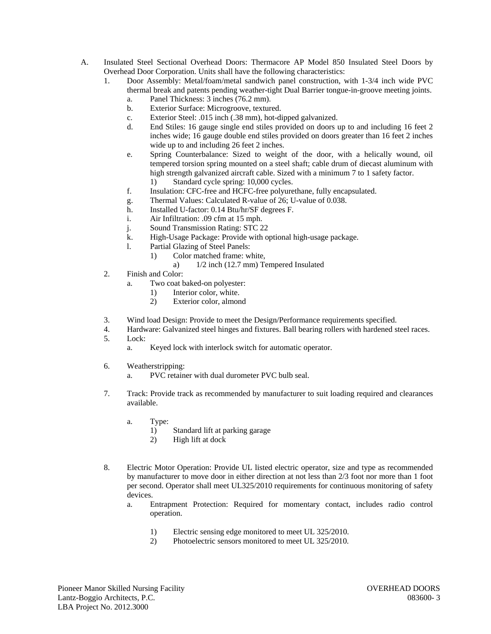- A. Insulated Steel Sectional Overhead Doors: Thermacore AP Model 850 Insulated Steel Doors by Overhead Door Corporation. Units shall have the following characteristics:
	- 1. Door Assembly: Metal/foam/metal sandwich panel construction, with 1-3/4 inch wide PVC thermal break and patents pending weather-tight Dual Barrier tongue-in-groove meeting joints.
		- a. Panel Thickness: 3 inches (76.2 mm).
		- b. Exterior Surface: Microgroove, textured.
		- c. Exterior Steel: .015 inch (.38 mm), hot-dipped galvanized.
		- d. End Stiles: 16 gauge single end stiles provided on doors up to and including 16 feet 2 inches wide; 16 gauge double end stiles provided on doors greater than 16 feet 2 inches wide up to and including 26 feet 2 inches.
		- e. Spring Counterbalance: Sized to weight of the door, with a helically wound, oil tempered torsion spring mounted on a steel shaft; cable drum of diecast aluminum with high strength galvanized aircraft cable. Sized with a minimum 7 to 1 safety factor.
			- 1) Standard cycle spring: 10,000 cycles.
		- f. Insulation: CFC-free and HCFC-free polyurethane, fully encapsulated.
		- g. Thermal Values: Calculated R-value of 26; U-value of 0.038.
		- h. Installed U-factor: 0.14 Btu/hr/SF degrees F.
		- i. Air Infiltration: .09 cfm at 15 mph.
		- j. Sound Transmission Rating: STC 22
		- k. High-Usage Package: Provide with optional high-usage package.
		- l. Partial Glazing of Steel Panels:
			- 1) Color matched frame: white,
				- a) 1/2 inch (12.7 mm) Tempered Insulated
	- 2. Finish and Color:
		- a. Two coat baked-on polyester:
			- 1) Interior color, white.
			- 2) Exterior color, almond
	- 3. Wind load Design: Provide to meet the Design/Performance requirements specified.
	- 4. Hardware: Galvanized steel hinges and fixtures. Ball bearing rollers with hardened steel races. 5. Lock:
		- a. Keyed lock with interlock switch for automatic operator.
	- 6. Weatherstripping:
		- a. PVC retainer with dual durometer PVC bulb seal.
	- 7. Track: Provide track as recommended by manufacturer to suit loading required and clearances available.
		- a. Type:
			- 1) Standard lift at parking garage
			- 2) High lift at dock
	- 8. Electric Motor Operation: Provide UL listed electric operator, size and type as recommended by manufacturer to move door in either direction at not less than 2/3 foot nor more than 1 foot per second. Operator shall meet UL325/2010 requirements for continuous monitoring of safety devices.
		- a. Entrapment Protection: Required for momentary contact, includes radio control operation.
			- 1) Electric sensing edge monitored to meet UL 325/2010.
			- 2) Photoelectric sensors monitored to meet UL 325/2010.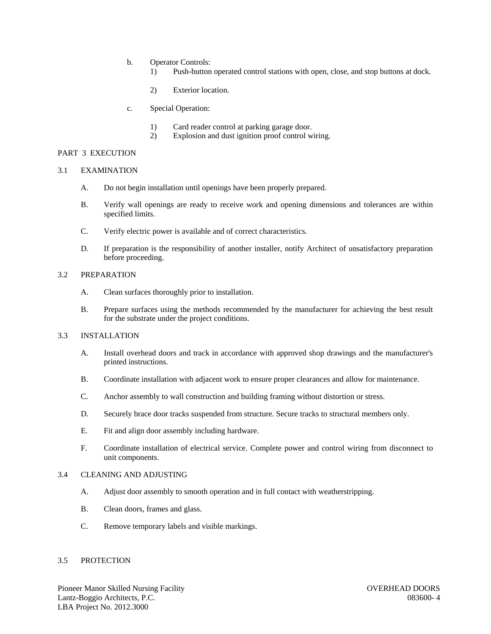- b. Operator Controls:
	- 1) Push-button operated control stations with open, close, and stop buttons at dock.
	- 2) Exterior location.
- c. Special Operation:
	- 1) Card reader control at parking garage door.
	- 2) Explosion and dust ignition proof control wiring.

#### PART 3 EXECUTION

#### 3.1 EXAMINATION

- A. Do not begin installation until openings have been properly prepared.
- B. Verify wall openings are ready to receive work and opening dimensions and tolerances are within specified limits.
- C. Verify electric power is available and of correct characteristics.
- D. If preparation is the responsibility of another installer, notify Architect of unsatisfactory preparation before proceeding.

#### 3.2 PREPARATION

- A. Clean surfaces thoroughly prior to installation.
- B. Prepare surfaces using the methods recommended by the manufacturer for achieving the best result for the substrate under the project conditions.

# 3.3 INSTALLATION

- A. Install overhead doors and track in accordance with approved shop drawings and the manufacturer's printed instructions.
- B. Coordinate installation with adjacent work to ensure proper clearances and allow for maintenance.
- C. Anchor assembly to wall construction and building framing without distortion or stress.
- D. Securely brace door tracks suspended from structure. Secure tracks to structural members only.
- E. Fit and align door assembly including hardware.
- F. Coordinate installation of electrical service. Complete power and control wiring from disconnect to unit components.

## 3.4 CLEANING AND ADJUSTING

- A. Adjust door assembly to smooth operation and in full contact with weatherstripping.
- B. Clean doors, frames and glass.
- C. Remove temporary labels and visible markings.

#### 3.5 PROTECTION

Pioneer Manor Skilled Nursing Facility **Nursing Facility COVERHEAD DOORS** Lantz-Boggio Architects, P.C. 083600- 4 LBA Project No. 2012.3000